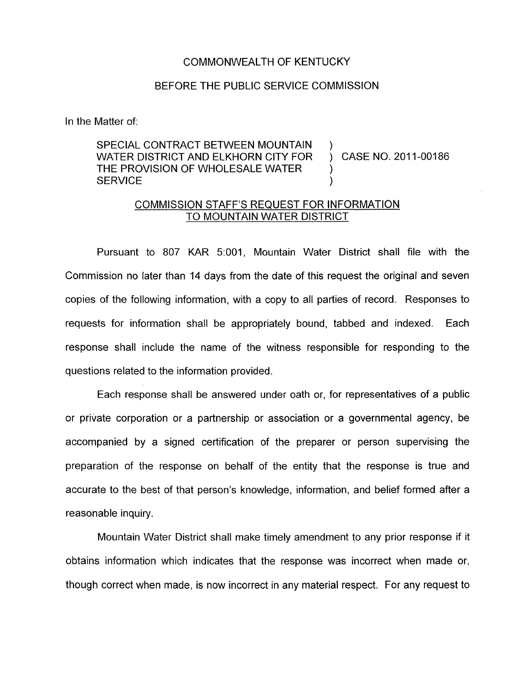## COMMONWEALTH OF KENTUCKY

## BEFORE THE PUBLIC SERVICE COMMISSION

In the Matter of:

SPECIAL CONTRACT BETWEEN MOUNTAIN WATER DISTRICT AND ELKHORN CITY FOR THE PROVISION OF WHOLESALE WATER  $\qquad \qquad$  ) SERVICE (SERVICE )

) CASE NO. 2011-00186

## COMMISSION STAFF'S REQUEST FOR INFORMATION TO MOUNTAIN WATER DISTRICT

Pursuant to 807 KAR 5:001, Mountain Water District shall file with the Commission no later than 14 days from the date of this request the original and seven copies of the following information, with a copy to all parties of record. Responses to requests for information shall be appropriately bound, tabbed and indexed. Each response shall include the name of the witness responsible for responding to the questions related to the information provided

Each response shall be answered under oath or, for representatives of a public or private corporation or a partnership or association or a governmental agency, be accompanied by a signed certification of the preparer or person supervising the preparation of the response on behalf of the entity that the response is true and accurate to the best of that person's knowledge, information, and belief formed after a reasonable inquiry.

Mountain Water District shall make timely amendment to any prior response if it obtains information which indicates that the response was incorrect when made or, though correct when made, is now incorrect in any material respect. For any request to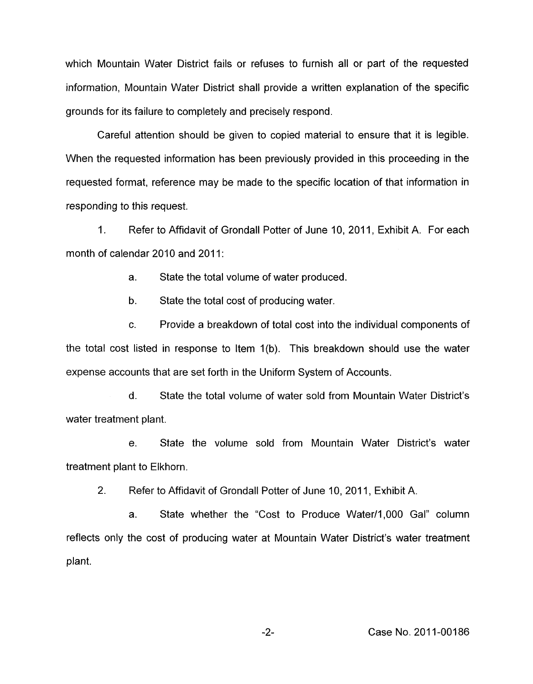which Mountain Water District fails or refuses to furnish all or part of the requested information, Mountain Water District shall provide a written explanation of the specific grounds for its failure to completely and precisely respond.

Careful attention should be given to copied material to ensure that it is legible. When the requested information has been previously provided in this proceeding in the requested format, reference may be made to the specific location of that information in responding to this request.

1. Refer to Affidavit of Grondall Potter of June 10, 2011, Exhibit A. For each month of calendar 2010 and 2011:

> a. State the total volume of water produced.

b. State the total cost of producing water.

c. Provide a breakdown of total cost into the individual components of the total cost listed in response to Item 1(b). This breakdown should use the water expense accounts that are set forth in the Uniform System of Accounts.

d. State the total volume of water sold from Mountain Water District's water treatment plant.

e. State the volume sold from Mountain Water District's water treatment plant to Elkhorn.

2. Refer to Affidavit of Grondall Potter of June 10, 2011, Exhibit A.

a. State whether the "Cost to Produce Water/1,000 Gal" column reflects only the cost of producing water at Mountain Water District's water treatment plant.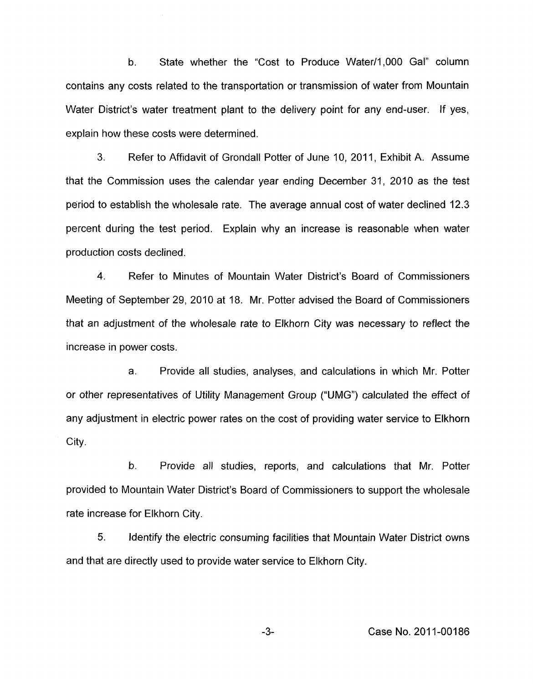b. State whether the "Cost to Produce Water/1,000 Gal" column contains any costs related to the transportation or transmission of water from Mountain Water District's water treatment plant to the delivery point for any end-user. If yes, explain how these costs were determined.

**3"** Refer to Affidavit of Grondall Potter of June IO, 2011, Exhibit A. Assume that the Commission uses the calendar year ending December 31, 2010 as the test period to establish the wholesale rate. The average annual cost of water declined 12.3 percent during the test period. Explain why an increase is reasonable when water production costs declined.

**4.** Refer to Minutes of Mountain Water District's Board of Commissioners Meeting of September 29, 2010 at 18. Mr. Potter advised the Board of Commissioners that an adjustment of the wholesale rate to Elkhorn City was necessary to reflect the increase in power costs.

a. Provide all studies, analyses, and calculations in which Mr. Potter or other representatives of Utility Management Group ("UMG") calculated the effect of any adjustment in electric power rates on the cost of providing water service to Elkhorn City.

b. Provide all studies, reports, and calculations that Mr. Potter provided to Mountain Water District's Board of Commissioners to support the wholesale rate increase for Elkhorn City.

5. Identify the electric consuming facilities that Mountain Water District owns and that are directly used to provide water service to Elkhorn City.

**-3-** Case No. 201 1-001 86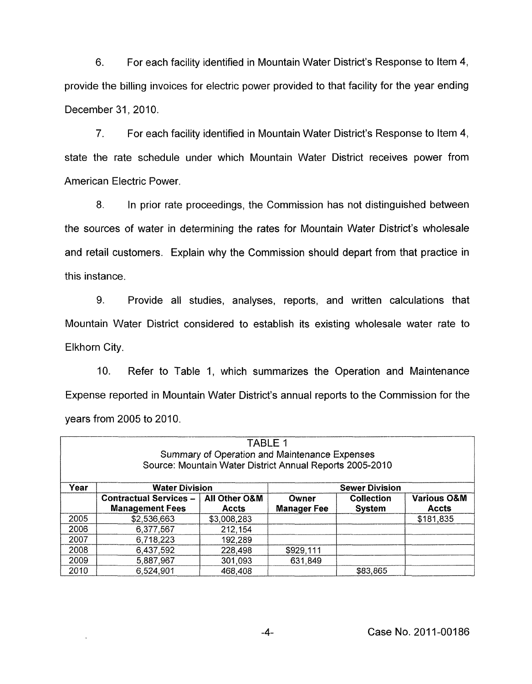<span id="page-3-0"></span>6. For each facility identified in Mountain Water District's Response to Item 4, provide the billing invoices for electric power provided to that facility for the year ending December 31,2010.

**7.** For each facility identified in Mountain Water District's Response to Item **4,**  state the rate schedule under which Mountain Water District receives power from American Electric Power

8. In prior rate proceedings, the Commission has not distinguished between the sources of water in determining the rates for Mountain Water District's wholesale and retail customers. Explain why the Commission should depart from that practice in this instance.

9. Provide all studies, analyses, reports, and written calculations that Mountain Water District considered to establish its existing wholesale water rate to Elkhorn City.

IO. Refer to Table 1, which summarizes the Operation and Maintenance Expense reported in Mountain Water District's annual reports to the Commission for the years from 2005 to 2010.

| <b>TABLE 1</b><br>Summary of Operation and Maintenance Expenses<br>Source: Mountain Water District Annual Reports 2005-2010 |                                                         |                               |                             |                                    |                                        |  |
|-----------------------------------------------------------------------------------------------------------------------------|---------------------------------------------------------|-------------------------------|-----------------------------|------------------------------------|----------------------------------------|--|
| Year                                                                                                                        | <b>Water Division</b>                                   |                               | <b>Sewer Division</b>       |                                    |                                        |  |
|                                                                                                                             | <b>Contractual Services -</b><br><b>Management Fees</b> | All Other O&M<br><b>Accts</b> | Owner<br><b>Manager Fee</b> | <b>Collection</b><br><b>System</b> | <b>Various O&amp;M</b><br><b>Accts</b> |  |
| 2005                                                                                                                        | \$2,536,663                                             | \$3,008,283                   |                             |                                    | \$181,835                              |  |
| 2006                                                                                                                        | 6,377,567                                               | 212,154                       |                             |                                    |                                        |  |
| 2007                                                                                                                        | 6,718,223                                               | 192,289                       |                             |                                    |                                        |  |
| 2008                                                                                                                        | 6,437,592                                               | 228,498                       | \$929,111                   |                                    |                                        |  |
| 2009                                                                                                                        | 5,887,967                                               | 301,093                       | 631,849                     |                                    |                                        |  |
| 2010                                                                                                                        | 6,524,901                                               | 468,408                       |                             | \$83,865                           |                                        |  |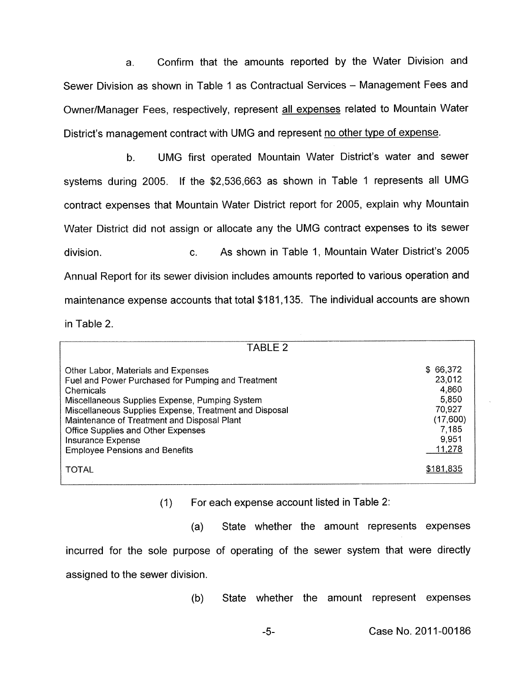a. Confirm that the amounts reported by the Water Division and Sewer Division as shown in [Table 1](#page-3-0) as Contractual Services - Management Fees and OwnerIManager Fees, respectively, represent all expenses related to Mountain Water District's management contract with UMG and represent no other type of expense.

b. UMG first operated Mountain Water District's water and sewer systems during 2005. If the \$2,536,663 as shown in [Table 1](#page-3-0) represents all UMG contract expenses that Mountain Water District report for 2005, explain why Mountain Water District did not assign or allocate any the UMG contract expenses to its sewer division. c. As shown in Table 1, Mountain Water District's 2005 Annual Report for its sewer division includes amounts reported to various operation and maintenance expense accounts that total \$181,135. The individual accounts are shown in Table 2.

| TABLE 2                                                                                                                                                                                                                                                                                                                                                               |                                                                                        |
|-----------------------------------------------------------------------------------------------------------------------------------------------------------------------------------------------------------------------------------------------------------------------------------------------------------------------------------------------------------------------|----------------------------------------------------------------------------------------|
| Other Labor, Materials and Expenses<br>Fuel and Power Purchased for Pumping and Treatment<br>Chemicals<br>Miscellaneous Supplies Expense, Pumping System<br>Miscellaneous Supplies Expense, Treatment and Disposal<br>Maintenance of Treatment and Disposal Plant<br>Office Supplies and Other Expenses<br>Insurance Expense<br><b>Employee Pensions and Benefits</b> | \$66,372<br>23,012<br>4,860<br>5,850<br>70,927<br>(17,600)<br>7,185<br>9,951<br>11,278 |
| <b>TOTAL</b>                                                                                                                                                                                                                                                                                                                                                          | \$181.835                                                                              |

(I) For each expense account listed in Table 2:

(a) State whether the amount represents expenses incurred for the sole purpose of operating of the sewer system that were directly assigned to the sewer division.

(b) State whether the amount represent expenses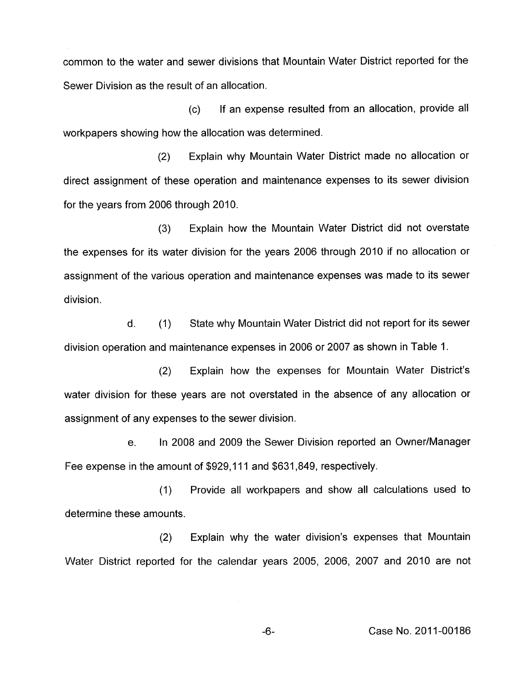common to the water and sewer divisions that Mountain Water District reported for the Sewer Division as the result of an allocation.

 $(c)$ workpapers showing how the allocation was determined. If an expense resulted from an allocation, provide all

(2) Explain why Mountain Water District made no allocation or direct assignment of these operation and maintenance expenses to its sewer division for the years from 2006 through 2010.

(3) Explain how the Mountain Water District did not overstate the expenses for its water division for the years 2006 through 2010 if no allocation or assignment of the various operation and maintenance expenses was made to its sewer division.

d. (1) State why Mountain Water District did not report for its sewer division operation and maintenance expenses in 2006 or 2007 as shown in [Table 1.](#page-3-0)

(2) Explain how the expenses for Mountain Water District's water division for these years are not overstated in the absence of any allocation or assignment of any expenses to the sewer division.

e. In 2008 and 2009 the Sewer Division reported an Owner/Manager Fee expense in the amount of \$929,111 and \$631,849, respectively.

(1) Provide all workpapers and show all calculations used to determine these amounts.

(2) Explain why the water division's expenses that Mountain Water District reported for the calendar years 2005, 2006, 2007 and 2010 are not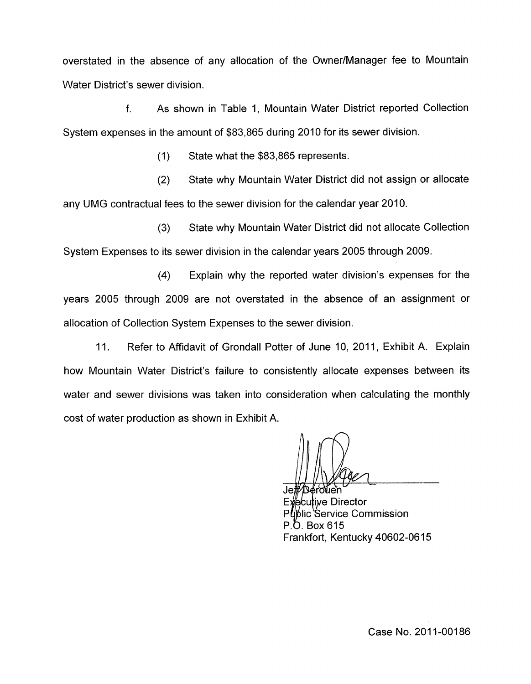overstated in the absence of any allocation of the OwnerlManager fee to Mountain Water District's sewer division.

f. As shown in Table 1, Mountain Water District reported Collection System expenses in the amount of \$83,865 during 2010 for its sewer division.

(1) State what the \$83,865 represents.

(2) State why Mountain Water District did not assign or allocate any UMG contractual fees to the sewer division for the calendar year 2010.

(3) State why Mountain Water District did not allocate Collection System Expenses to its sewer division in the calendar years 2005 through 2009.

**(4)** Explain why the reported water division's expenses for the years 2005 through 2009 are not overstated in the absence of an assignment or allocation of Collection System Expenses to the sewer division.

11. Refer to Affidavit of Grondall Potter of June 10, 2011, Exhibit A. Explain how Mountain Water District's failure to consistently allocate expenses between its water and sewer divisions was taken into consideration when calculating the monthly cost of water production as shown in Exhibit A.

itive Director Service Commission P O Box 615 Frankfort, Kentucky 40602-0615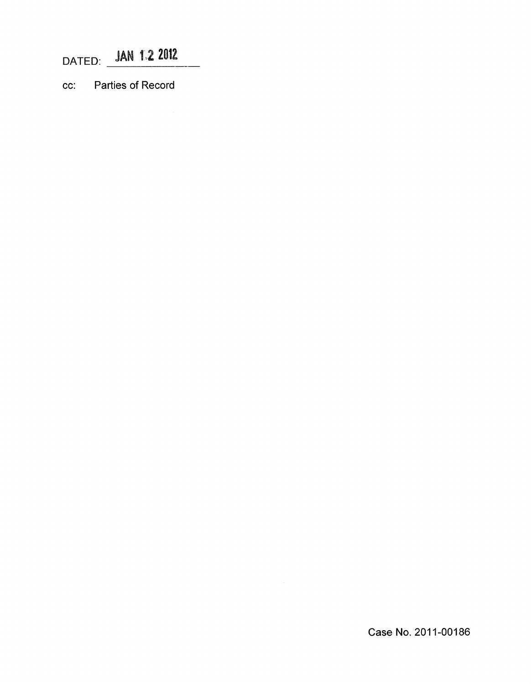DATED: **JAN 1.2 2012** 

*cc:* Parties of Record